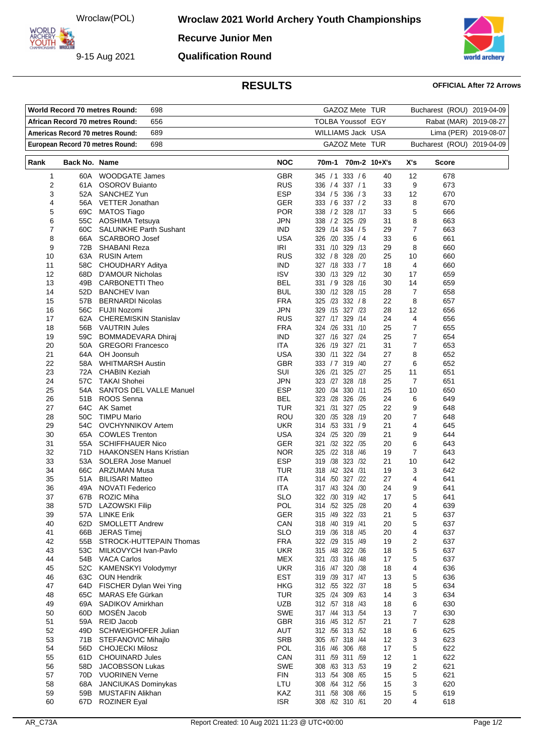Wroclaw(POL)

9-15 Aug 2021

**ARCHERY<br>YOUTH 422** 

**Wroclaw 2021 World Archery Youth Championships** 

**Recurve Junior Men**

**Qualification Round**



## **RESULTS OFFICIAL After 72 Arrows**

| World Record 70 metres Round: | GAZOZ Mete TUR                  |                                                       |                        | Bucharest (ROU) 2019-04-09         |                       |                     |                            |  |
|-------------------------------|---------------------------------|-------------------------------------------------------|------------------------|------------------------------------|-----------------------|---------------------|----------------------------|--|
|                               | African Record 70 metres Round: | <b>TOLBA Youssof EGY</b>                              | Rabat (MAR) 2019-08-27 |                                    |                       |                     |                            |  |
|                               |                                 | 689<br>Americas Record 70 metres Round:               |                        | WILLIAMS Jack USA                  | Lima (PER) 2019-08-07 |                     |                            |  |
|                               |                                 | 698<br>European Record 70 metres Round:               |                        | GAZOZ Mete TUR                     |                       |                     | Bucharest (ROU) 2019-04-09 |  |
| Rank                          | Back No. Name                   |                                                       | <b>NOC</b>             | 70m-1 70m-2 10+X's                 |                       | X's                 | Score                      |  |
| 1                             |                                 | 60A WOODGATE James                                    | GBR                    | 345 / 1 333 / 6                    | 40                    | 12                  | 678                        |  |
| $\overline{\mathbf{c}}$       | 61A                             | <b>OSOROV Buianto</b>                                 | <b>RUS</b>             | 336 / 4 337 / 1                    | 33                    | 9                   | 673                        |  |
| 3                             | 52A                             | SANCHEZ Yun                                           | <b>ESP</b>             | 334 / 5 336 / 3                    | 33                    | 12                  | 670                        |  |
| 4                             |                                 | 56A VETTER Jonathan                                   | <b>GER</b>             | 333 / 6 337 / 2                    | 33                    | 8                   | 670                        |  |
| 5                             | 69C                             | <b>MATOS Tiago</b>                                    | <b>POR</b>             | 338 / 2 328 / 17                   | 33                    | 5                   | 666                        |  |
| 6                             | 55C                             | AOSHIMA Tetsuya                                       | JPN                    | 338 / 2 325 / 29                   | 31                    | 8                   | 663                        |  |
| 7                             | 60C                             | <b>SALUNKHE Parth Sushant</b>                         | <b>IND</b>             | 329 /14 334 / 5                    | 29                    | 7                   | 663                        |  |
| 8                             | 66A                             | <b>SCARBORO Josef</b>                                 | <b>USA</b>             | 326 /20 335 / 4                    | 33                    | 6                   | 661                        |  |
| 9                             |                                 | 72B SHABANI Reza                                      | IRI                    | 331 /10 329 /13                    | 29                    | 8                   | 660                        |  |
| 10                            | 63A                             | <b>RUSIN Artem</b>                                    | <b>RUS</b>             | 332 / 8 328 / 20                   | 25                    | 10                  | 660                        |  |
| 11                            | 58C                             | CHOUDHARY Aditya                                      | <b>IND</b>             | 327 /18 333 / 7                    | 18                    | 4                   | 660                        |  |
| 12                            | 68D                             | <b>D'AMOUR Nicholas</b>                               | <b>ISV</b>             | 330 /13 329 /12                    | 30                    | 17                  | 659                        |  |
| 13                            | 49B                             | <b>CARBONETTI Theo</b>                                | <b>BEL</b>             | 331 / 9 328 /16                    | 30                    | 14                  | 659                        |  |
| 14                            | 52D                             | <b>BANCHEV</b> Ivan                                   | <b>BUL</b>             | 330 /12 328 /15                    | 28                    | $\overline{7}$      | 658                        |  |
| 15                            | 57B                             | <b>BERNARDI Nicolas</b>                               | <b>FRA</b>             | 325 /23 332 / 8                    | 22                    | 8                   | 657                        |  |
| 16                            |                                 | 56C FUJII Nozomi                                      | JPN                    | 329 /15 327 /23                    | 28                    | 12                  | 656                        |  |
| 17                            | 62A                             | <b>CHEREMISKIN Stanislav</b><br>56B VAUTRIN Jules     | <b>RUS</b>             | 327 /17 329 /14                    | 24                    | $\overline{4}$      | 656                        |  |
| 18                            |                                 |                                                       | <b>FRA</b>             | 324 /26 331 /10<br>327 /16 327 /24 | 25                    | 7<br>$\overline{7}$ | 655                        |  |
| 19<br>20                      | 59C<br>50A                      | <b>BOMMADEVARA Dhiraj</b><br><b>GREGORI Francesco</b> | <b>IND</b><br>ITA      | 326 /19 327 /21                    | 25<br>31              | 7                   | 654<br>653                 |  |
| 21                            | 64A                             | OH Joonsuh                                            | <b>USA</b>             | 330 /11 322 /34                    | 27                    | 8                   | 652                        |  |
| 22                            |                                 | 58A WHITMARSH Austin                                  | <b>GBR</b>             | 333 / 7 319 / 40                   | 27                    | 6                   | 652                        |  |
| 23                            | 72A                             | <b>CHABIN Keziah</b>                                  | SUI                    | 326 /21 325 /27                    | 25                    | 11                  | 651                        |  |
| 24                            | 57C                             | TAKAI Shohei                                          | JPN                    | 323 /27 328 /18                    | 25                    | 7                   | 651                        |  |
| 25                            | 54A                             | <b>SANTOS DEL VALLE Manuel</b>                        | <b>ESP</b>             | 320 /34 330 /11                    | 25                    | 10                  | 650                        |  |
| 26                            |                                 | 51B ROOS Senna                                        | <b>BEL</b>             | 323 /28 326 /26                    | 24                    | 6                   | 649                        |  |
| 27                            |                                 | 64C AK Samet                                          | <b>TUR</b>             | 321 /31 327 /25                    | 22                    | 9                   | 648                        |  |
| 28                            |                                 | 50C TIMPU Mario                                       | ROU                    | 320 / 35 328 / 19                  | 20                    | 7                   | 648                        |  |
| 29                            | 54C                             | <b>OVCHYNNIKOV Artem</b>                              | <b>UKR</b>             | 314 /53 331 / 9                    | 21                    | 4                   | 645                        |  |
| 30                            | 65A                             | <b>COWLES Trenton</b>                                 | <b>USA</b>             | 324 /25 320 /39                    | 21                    | 9                   | 644                        |  |
| 31                            | 55A                             | <b>SCHIFFHAUER Nico</b>                               | <b>GER</b>             | 321 /32 322 /35                    | 20                    | 6                   | 643                        |  |
| 32                            | 71D                             | <b>HAAKONSEN Hans Kristian</b>                        | <b>NOR</b>             | 325 /22 318 /46                    | 19                    | $\overline{7}$      | 643                        |  |
| 33                            | 53A                             | SOLERA Jose Manuel                                    | <b>ESP</b>             | 319 /38 323 /32                    | 21                    | 10                  | 642                        |  |
| 34                            |                                 | 66C ARZUMAN Musa                                      | TUR                    | 318 /42 324 /31                    | 19                    | 3                   | 642                        |  |
| 35                            | 51A                             | <b>BILISARI Matteo</b>                                | ITA                    | 314 /50 327 /22                    | 27                    | 4                   | 641                        |  |
| 36                            | 49A                             | <b>NOVATI Federico</b>                                | ITA                    | 317 /43 324 /30                    | 24                    | 9                   | 641                        |  |
| 37                            |                                 | 67B ROZIC Miha                                        | <b>SLO</b>             | 322 /30 319 /42                    | 17                    | 5                   | 641                        |  |
| 38                            | 57D                             | <b>LAZOWSKI Filip</b><br>57A LINKE Erik               | POL                    | 314 /52 325 /28                    | 20                    | 4                   | 639                        |  |
| 39<br>40                      | 62D                             | <b>SMOLLETT Andrew</b>                                | GER<br>CAN             | 315 /49 322 /33<br>318 /40 319 /41 | 21                    | 5<br>5              | 637<br>637                 |  |
| 41                            | 66B                             | <b>JERAS Timej</b>                                    | <b>SLO</b>             | 319 /36 318 /45                    | 20<br>20              | 4                   | 637                        |  |
| 42                            | 55B                             | STROCK-HUTTEPAIN Thomas                               | <b>FRA</b>             | 322 /29 315 /49                    | 19                    | $\overline{2}$      | 637                        |  |
| 43                            | 53C                             | MILKOVYCH Ivan-Pavlo                                  | <b>UKR</b>             | 315 /48 322 /36                    | 18                    | 5                   | 637                        |  |
| 44                            | 54B                             | <b>VACA Carlos</b>                                    | <b>MEX</b>             | 321 /33 316 /48                    | 17                    | 5                   | 637                        |  |
| 45                            | 52C                             | KAMENSKYI Volodymyr                                   | <b>UKR</b>             | 316 /47 320 /38                    | 18                    | 4                   | 636                        |  |
| 46                            | 63C                             | <b>OUN Hendrik</b>                                    | <b>EST</b>             | 319 /39 317 /47                    | 13                    | 5                   | 636                        |  |
| 47                            | 64D                             | FISCHER Dylan Wei Ying                                | <b>HKG</b>             | 312 /55 322 /37                    | 18                    | 5                   | 634                        |  |
| 48                            | 65C                             | MARAS Efe Gürkan                                      | <b>TUR</b>             | 325 /24 309 /63                    | 14                    | 3                   | 634                        |  |
| 49                            | 69A                             | SADIKOV Amirkhan                                      | <b>UZB</b>             | 312 /57 318 /43                    | 18                    | 6                   | 630                        |  |
| 50                            | 60D                             | MOSÉN Jacob                                           | SWE                    | 317 /44 313 /54                    | 13                    | $\overline{7}$      | 630                        |  |
| 51                            | 59A                             | REID Jacob                                            | GBR                    | 316 /45 312 /57                    | 21                    | 7                   | 628                        |  |
| 52                            | 49D                             | SCHWEIGHOFER Julian                                   | AUT                    | 312 /56 313 /52                    | 18                    | 6                   | 625                        |  |
| 53                            | 71B                             | STEFANOVIC Mihajlo                                    | <b>SRB</b>             | 305 /67 318 /44                    | 12                    | 3                   | 623                        |  |
| 54                            | 56D                             | <b>CHOJECKI Milosz</b>                                | POL                    | 316 /46 306 /68                    | 17                    | 5                   | 622                        |  |
| 55                            | 61D                             | <b>CHOUINARD Jules</b>                                | CAN                    | 311 /59 311 /59                    | 12                    | 1                   | 622                        |  |
| 56                            | 58D                             | <b>JACOBSSON Lukas</b>                                | SWE                    | 308 /63 313 /53                    | 19                    | $\overline{2}$      | 621                        |  |
| 57                            | 70D                             | <b>VUORINEN Verne</b>                                 | <b>FIN</b>             | 313 /54 308 /65                    | 15                    | 5                   | 621                        |  |
| 58                            | 68A                             | <b>JANCIUKAS Dominykas</b>                            | LTU                    | 308 /64 312 /56                    | 15                    | 3                   | 620                        |  |
| 59                            | 59B                             | MUSTAFIN Alikhan                                      | KAZ                    | 311 /58 308 /66                    | 15                    | 5                   | 619                        |  |
| 60                            | 67D                             | <b>ROZINER Eyal</b>                                   | <b>ISR</b>             | 308 /62 310 /61                    | 20                    | 4                   | 618                        |  |